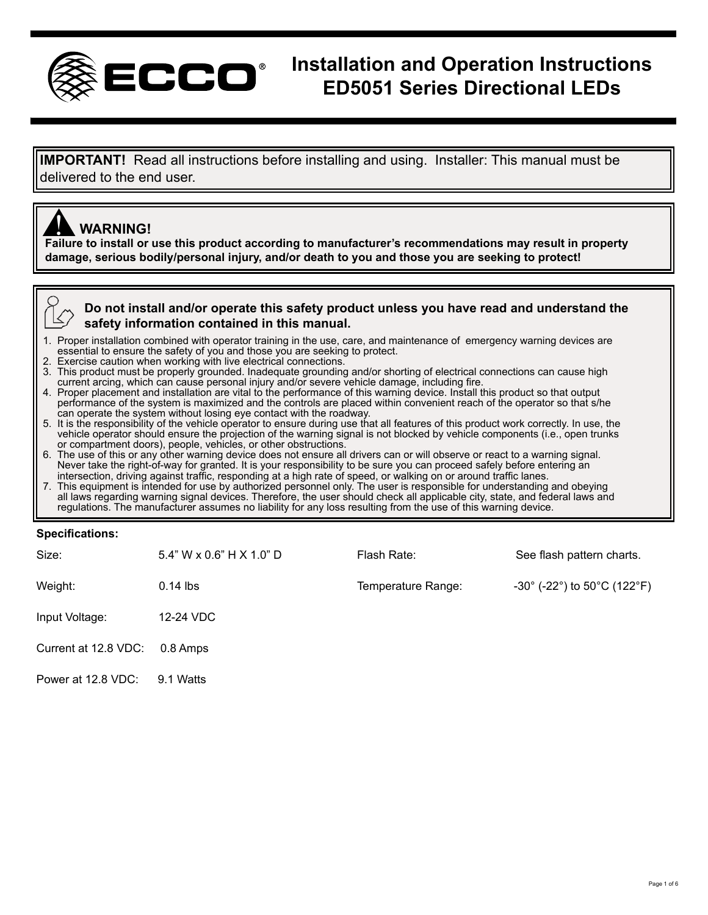

# **Installation and Operation Instructions ED5051 Series Directional LEDs**

**IMPORTANT!** Read all instructions before installing and using. Installer: This manual must be delivered to the end user.

## **WARNING!**

**ANDICES WARNING!**<br>Failure to install or use this product according to manufacturer's recommendations may result in property **damage, serious bodily/personal injury, and/or death to you and those you are seeking to protect!**

**Do not install and/or operate this safety product unless you have read and understand the safety information contained in this manual.**

- 1. Proper installation combined with operator training in the use, care, and maintenance of emergency warning devices are essential to ensure the safety of you and those you are seeking to protect.<br>2. Exercise caution when working with live electrical connections
- 
- 2. Exercise caution when working with live electrical connections.<br>3. This product must be properly grounded. Inadequate grounding and/or shorting of electrical connections can cause high 3. This product must be properly grounded. Inadequate grounding and/or shorting of electrical connections can cause high current arcing, which can cause personal injury and/or severe vehicle damage, including fire.
- 4. Proper placement and installation are vital to the performance of this warning device. Install this product so that output performance of the system is maximized and the controls are placed within convenient reach of the operator so that s/he can operate the system without losing eye contact with the roadway.<br>5. It is the responsibility of the
- vehicle operator should ensure the projection of the warning signal is not blocked by vehicle components (i.e., open trunks<br>or compartment doors), people, vehicles, or other obstructions.
- 6. The use of this or any other warning device does not ensure all drivers can or will observe or react to a warning signal.<br>Never take the right-of-way for granted. It is your responsibility to be sure you can proceed saf intersection, driving against traffic, responding at a high rate of speed, or walking on or around traffic lanes.
- 7. This equipment is intended for use by authorized personnel only. The user is responsible for understanding and obeying all laws regarding warning signal devices. Therefore, the user should check all applicable city, state, and federal laws and<br>regulations. The manufacturer assumes no liability for any loss resulting from the use of this wa

#### **Specifications:**

| Size:                | $5.4$ " W x $0.6$ " H X $1.0$ " D | Flash Rate:        | See flash pattern charts.                                             |
|----------------------|-----------------------------------|--------------------|-----------------------------------------------------------------------|
| Weight:              | $0.14$ lbs                        | Temperature Range: | $-30^{\circ}$ (-22 $^{\circ}$ ) to 50 $^{\circ}$ C (122 $^{\circ}$ F) |
| Input Voltage:       | 12-24 VDC                         |                    |                                                                       |
| Current at 12.8 VDC: | 0.8 Amps                          |                    |                                                                       |
| Power at 12.8 VDC:   | 9.1 Watts                         |                    |                                                                       |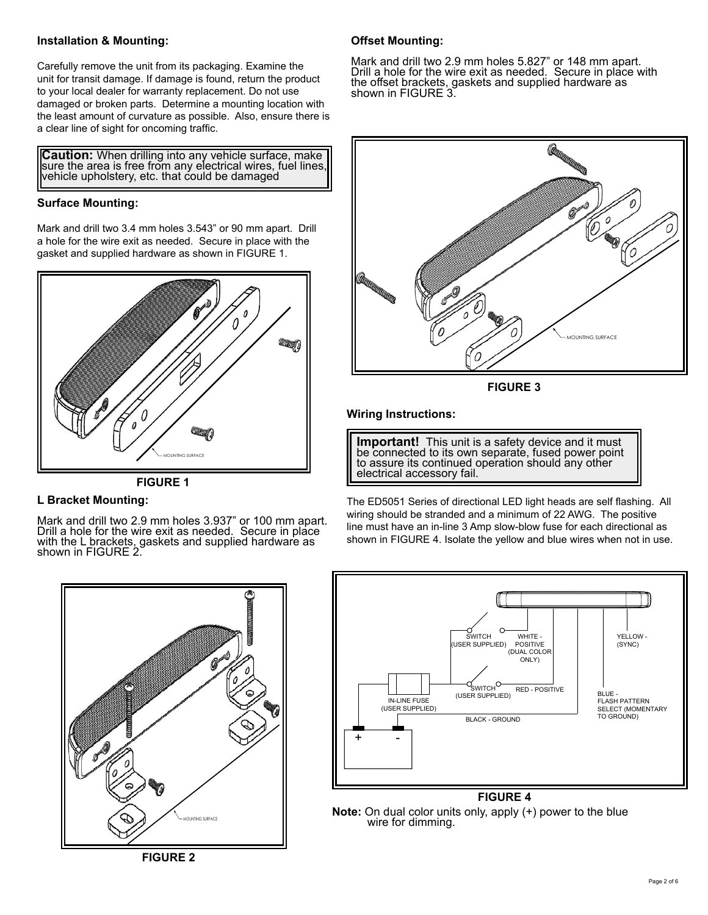#### **Installation & Mounting:**

Carefully remove the unit from its packaging. Examine the unit for transit damage. If damage is found, return the product to your local dealer for warranty replacement. Do not use damaged or broken parts. Determine a mounting location with the least amount of curvature as possible. Also, ensure there is a clear line of sight for oncoming traffic.

**Caution:** When drilling into any vehicle surface, make sure the area is free from any electrical wires, fuel lines, vehicle upholstery, etc. that could be damaged

### **Surface Mounting:**

Mark and drill two 3.4 mm holes 3.543" or 90 mm apart. Drill a hole for the wire exit as needed. Secure in place with the gasket and supplied hardware as shown in FIGURE 1.



**FIGURE 1**

## **L Bracket Mounting:**

Mark and drill two 2.9 mm holes 3.937" or 100 mm apart. Drill a hole for the wire exit as needed. Secure in place with the L brackets, gaskets and supplied hardware as shown in FIGURE 2.

## **Offset Mounting:**

Mark and drill two 2.9 mm holes 5.827" or 148 mm apart. Drill a hole for the wire exit as needed. Secure in place with the offset brackets, gaskets and supplied hardware as shown in FIGURE 3.



**FIGURE 3**

#### **Wiring Instructions:**

**Important!** This unit is a safety device and it must be connected to its own separate, fused power point to assure its continued operation should any other electrical accessory fail.

The ED5051 Series of directional LED light heads are self flashing. All wiring should be stranded and a minimum of 22 AWG. The positive line must have an in-line 3 Amp slow-blow fuse for each directional as shown in FIGURE 4. Isolate the yellow and blue wires when not in use.



YELLOW - (SYNC) + - BLACK - GROUND BLUE - FLASH PATTERN SELECT (MOMENTARY TO GROUND) WITCH<sup>O</sup><br>
SWITCH<sup>O</sup><br>
(USER SUPPLIED)<br>
RED - POSITIVE (USER SUPPLIED) WHITE - POSITIVE (DUAL COLOR ONLY) **SWITCH** (USER SUPPLIED) **FIGURE 4**

# **Note:** On dual color units only, apply (+) power to the blue wire for dimming.

**FIGURE 2**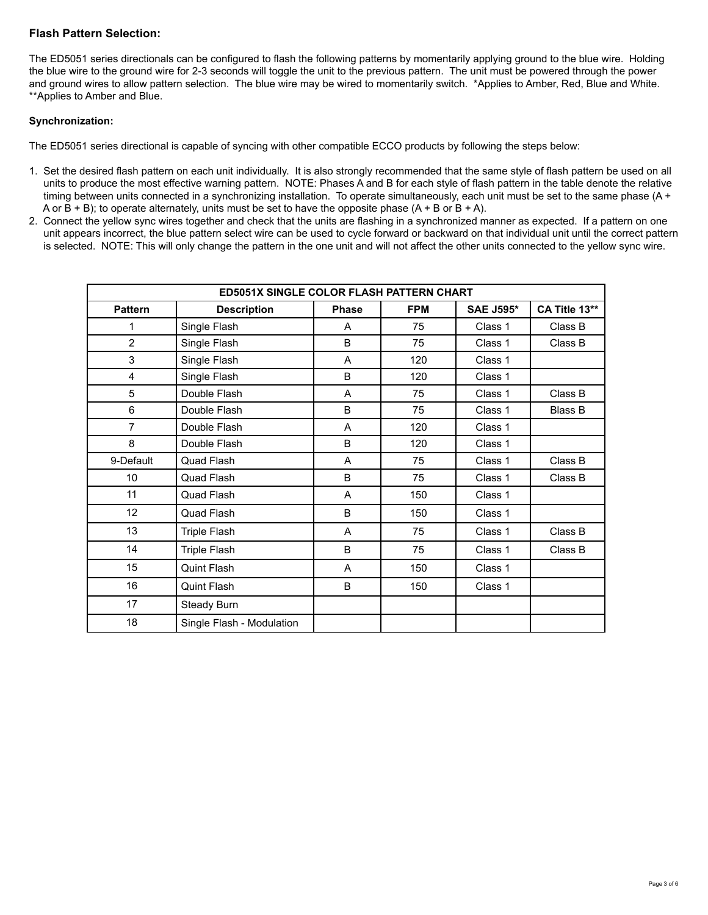#### **Flash Pattern Selection:**

The ED5051 series directionals can be configured to flash the following patterns by momentarily applying ground to the blue wire. Holding the blue wire to the ground wire for 2-3 seconds will toggle the unit to the previous pattern. The unit must be powered through the power and ground wires to allow pattern selection. The blue wire may be wired to momentarily switch. \*Applies to Amber, Red, Blue and White. \*\*Applies to Amber and Blue.

#### **Synchronization:**

The ED5051 series directional is capable of syncing with other compatible ECCO products by following the steps below:

- 1. Set the desired flash pattern on each unit individually. It is also strongly recommended that the same style of flash pattern be used on all units to produce the most effective warning pattern. NOTE: Phases A and B for each style of flash pattern in the table denote the relative timing between units connected in a synchronizing installation. To operate simultaneously, each unit must be set to the same phase (A + A or  $B + B$ ); to operate alternately, units must be set to have the opposite phase  $(A + B \text{ or } B + A)$ .
- 2. Connect the yellow sync wires together and check that the units are flashing in a synchronized manner as expected. If a pattern on one unit appears incorrect, the blue pattern select wire can be used to cycle forward or backward on that individual unit until the correct pattern is selected. NOTE: This will only change the pattern in the one unit and will not affect the other units connected to the yellow sync wire.

| ED5051X SINGLE COLOR FLASH PATTERN CHART |                                |              |            |                  |                |  |  |  |
|------------------------------------------|--------------------------------|--------------|------------|------------------|----------------|--|--|--|
| <b>Pattern</b>                           | <b>Description</b>             | <b>Phase</b> | <b>FPM</b> | <b>SAE J595*</b> | CA Title 13**  |  |  |  |
| 1                                        | Single Flash                   | A            | 75         | Class 1          | Class B        |  |  |  |
| $\overline{2}$                           | Single Flash                   | B            | 75         | Class 1          | Class B        |  |  |  |
| 3                                        | Single Flash                   | A            | 120        | Class 1          |                |  |  |  |
| $\overline{4}$                           | Single Flash                   | B            | 120        | Class 1          |                |  |  |  |
| 5                                        | Double Flash                   | A            | 75         | Class 1          | Class B        |  |  |  |
| 6                                        | Double Flash                   | B            | 75         | Class 1          | <b>Blass B</b> |  |  |  |
| 7                                        | Double Flash                   | A            | 120        | Class 1          |                |  |  |  |
| 8                                        | Double Flash                   | B            | 120        | Class 1          |                |  |  |  |
| 9-Default                                | Quad Flash                     | A<br>75      |            | Class 1          | Class B        |  |  |  |
| 10                                       | Quad Flash                     | B            | 75         | Class 1          | Class B        |  |  |  |
| 11                                       | Quad Flash                     | A            | 150        | Class 1          |                |  |  |  |
| 12                                       | Quad Flash                     | B            | 150        | Class 1          |                |  |  |  |
| 13                                       | <b>Triple Flash</b>            | A            | 75         | Class 1          | Class B        |  |  |  |
| 14                                       | <b>Triple Flash</b><br>B<br>75 |              | Class 1    | Class B          |                |  |  |  |
| 15                                       | Quint Flash                    | A            | 150        | Class 1          |                |  |  |  |
| 16                                       | Quint Flash                    | B            | 150        | Class 1          |                |  |  |  |
| 17                                       | Steady Burn                    |              |            |                  |                |  |  |  |
| 18                                       | Single Flash - Modulation      |              |            |                  |                |  |  |  |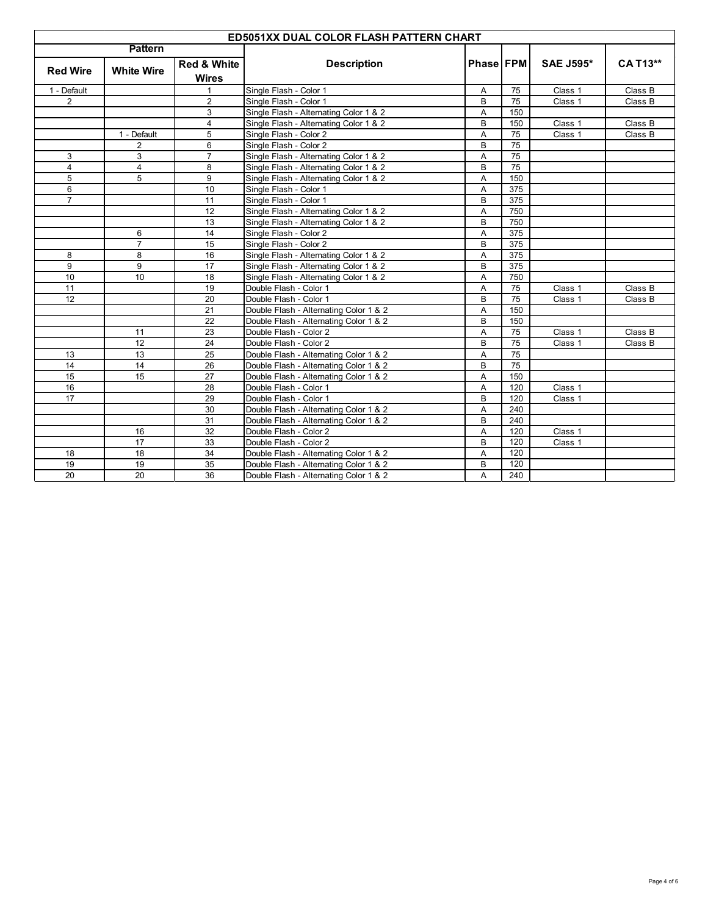| ED5051XX DUAL COLOR FLASH PATTERN CHART |                   |                                        |                                        |                  |     |                  |                 |
|-----------------------------------------|-------------------|----------------------------------------|----------------------------------------|------------------|-----|------------------|-----------------|
| <b>Pattern</b>                          |                   |                                        |                                        |                  |     |                  |                 |
| <b>Red Wire</b>                         | <b>White Wire</b> | <b>Red &amp; White</b><br><b>Wires</b> | <b>Description</b>                     | <b>Phase FPM</b> |     | <b>SAE J595*</b> | <b>CA T13**</b> |
| 1 - Default                             |                   | $\mathbf 1$                            | Single Flash - Color 1                 | Α                | 75  | Class 1          | Class B         |
| $\overline{2}$                          |                   | $\overline{2}$                         | Single Flash - Color 1                 | B                | 75  | Class 1          | Class B         |
|                                         |                   | 3                                      | Single Flash - Alternating Color 1 & 2 | A                | 150 |                  |                 |
|                                         |                   | $\overline{4}$                         | Single Flash - Alternating Color 1 & 2 | B                | 150 | Class 1          | Class B         |
|                                         | 1 - Default       | 5                                      | Single Flash - Color 2                 | A                | 75  | Class 1          | Class B         |
|                                         | $\overline{2}$    | 6                                      | Single Flash - Color 2                 | B                | 75  |                  |                 |
| 3                                       | 3                 | $\overline{7}$                         | Single Flash - Alternating Color 1 & 2 | Α                | 75  |                  |                 |
| $\overline{4}$                          | $\overline{4}$    | 8                                      | Single Flash - Alternating Color 1 & 2 | B                | 75  |                  |                 |
| 5                                       | 5                 | 9                                      | Single Flash - Alternating Color 1 & 2 | A                | 150 |                  |                 |
| 6                                       |                   | 10                                     | Single Flash - Color 1                 | Α                | 375 |                  |                 |
| $\overline{7}$                          |                   | 11                                     | Single Flash - Color 1                 | B                | 375 |                  |                 |
|                                         |                   | 12                                     | Single Flash - Alternating Color 1 & 2 | Α                | 750 |                  |                 |
|                                         |                   | 13                                     | Single Flash - Alternating Color 1 & 2 | в                | 750 |                  |                 |
|                                         | 6                 | 14                                     | Single Flash - Color 2                 | Α                | 375 |                  |                 |
|                                         | $\overline{7}$    | 15                                     | Single Flash - Color 2                 | B                | 375 |                  |                 |
| 8                                       | 8                 | 16                                     | Single Flash - Alternating Color 1 & 2 | Α                | 375 |                  |                 |
| 9                                       | 9                 | 17                                     | Single Flash - Alternating Color 1 & 2 | B                | 375 |                  |                 |
| 10                                      | 10                | 18                                     | Single Flash - Alternating Color 1 & 2 | A                | 750 |                  |                 |
| 11                                      |                   | 19                                     | Double Flash - Color 1                 | A                | 75  | Class 1          | Class B         |
| 12                                      |                   | 20                                     | Double Flash - Color 1                 | B                | 75  | Class 1          | Class B         |
|                                         |                   | 21                                     | Double Flash - Alternating Color 1 & 2 | Α                | 150 |                  |                 |
|                                         |                   | 22                                     | Double Flash - Alternating Color 1 & 2 | B                | 150 |                  |                 |
|                                         | 11                | 23                                     | Double Flash - Color 2                 | A                | 75  | Class 1          | Class B         |
|                                         | $\overline{12}$   | $\overline{24}$                        | Double Flash - Color 2                 | B                | 75  | Class 1          | Class B         |
| 13                                      | 13                | 25                                     | Double Flash - Alternating Color 1 & 2 | A                | 75  |                  |                 |
| 14                                      | 14                | 26                                     | Double Flash - Alternating Color 1 & 2 | B                | 75  |                  |                 |
| 15                                      | 15                | 27                                     | Double Flash - Alternating Color 1 & 2 | A                | 150 |                  |                 |
| 16                                      |                   | 28                                     | Double Flash - Color 1                 | Α                | 120 | Class 1          |                 |
| $\overline{17}$                         |                   | 29                                     | Double Flash - Color 1                 | B                | 120 | Class 1          |                 |
|                                         |                   | 30                                     | Double Flash - Alternating Color 1 & 2 | A                | 240 |                  |                 |
|                                         |                   | 31                                     | Double Flash - Alternating Color 1 & 2 | B                | 240 |                  |                 |
|                                         | 16                | 32                                     | Double Flash - Color 2                 | Α                | 120 | Class 1          |                 |
|                                         | 17                | 33                                     | Double Flash - Color 2                 | B                | 120 | Class 1          |                 |
| 18                                      | 18                | 34                                     | Double Flash - Alternating Color 1 & 2 | A                | 120 |                  |                 |
| 19                                      | 19                | 35                                     | Double Flash - Alternating Color 1 & 2 | В                | 120 |                  |                 |
| 20                                      | 20                | 36                                     | Double Flash - Alternating Color 1 & 2 | A                | 240 |                  |                 |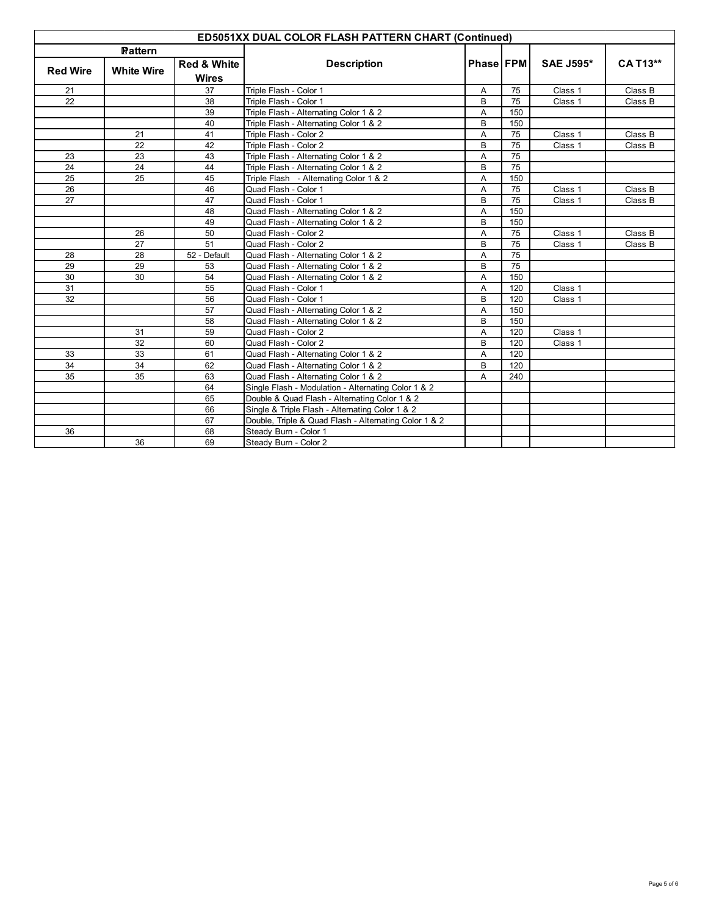| <b>ED5051XX DUAL COLOR FLASH PATTERN CHART (Continued)</b> |                |                        |                                                       |                  |     |                  |                 |  |
|------------------------------------------------------------|----------------|------------------------|-------------------------------------------------------|------------------|-----|------------------|-----------------|--|
|                                                            | <b>Pattern</b> |                        |                                                       |                  |     |                  |                 |  |
| <b>Red Wire</b><br><b>White Wire</b>                       |                | <b>Red &amp; White</b> | <b>Description</b>                                    | <b>Phase FPM</b> |     | <b>SAE J595*</b> | <b>CA T13**</b> |  |
|                                                            |                | <b>Wires</b>           |                                                       |                  |     |                  |                 |  |
| 21                                                         |                | 37                     | Triple Flash - Color 1                                | Α                | 75  | Class 1          | Class B         |  |
| 22                                                         |                | 38                     | Triple Flash - Color 1                                | B                | 75  | Class 1          | Class B         |  |
|                                                            |                | 39                     | Triple Flash - Alternating Color 1 & 2                | A                | 150 |                  |                 |  |
|                                                            |                | 40                     | Triple Flash - Alternating Color 1 & 2                | B                | 150 |                  |                 |  |
|                                                            | 21             | 41                     | Triple Flash - Color 2                                | A                | 75  | Class 1          | Class B         |  |
|                                                            | 22             | 42                     | Triple Flash - Color 2                                | B                | 75  | Class 1          | Class B         |  |
| 23                                                         | 23             | 43                     | Triple Flash - Alternating Color 1 & 2                | A                | 75  |                  |                 |  |
| 24                                                         | 24             | 44                     | Triple Flash - Alternating Color 1 & 2                | B                | 75  |                  |                 |  |
| 25                                                         | 25             | 45                     | Triple Flash - Alternating Color 1 & 2                | A                | 150 |                  |                 |  |
| 26                                                         |                | 46                     | Quad Flash - Color 1                                  | A                | 75  | Class 1          | Class B         |  |
| 27                                                         |                | 47                     | Quad Flash - Color 1                                  | B                | 75  | Class 1          | Class B         |  |
|                                                            |                | 48                     | Quad Flash - Alternating Color 1 & 2                  | A                | 150 |                  |                 |  |
|                                                            |                | 49                     | Quad Flash - Alternating Color 1 & 2                  | B                | 150 |                  |                 |  |
|                                                            | 26             | 50                     | Quad Flash - Color 2                                  | A                | 75  | Class 1          | Class B         |  |
|                                                            | 27             | 51                     | Quad Flash - Color 2                                  | B                | 75  | Class 1          | Class B         |  |
| 28                                                         | 28             | 52 - Default           | Quad Flash - Alternating Color 1 & 2                  | A                | 75  |                  |                 |  |
| 29                                                         | 29             | 53                     | Quad Flash - Alternating Color 1 & 2                  | B                | 75  |                  |                 |  |
| 30                                                         | 30             | 54                     | Quad Flash - Alternating Color 1 & 2                  | Α                | 150 |                  |                 |  |
| 31                                                         |                | 55                     | Quad Flash - Color 1                                  | Α                | 120 | Class 1          |                 |  |
| 32                                                         |                | 56                     | Quad Flash - Color 1                                  | B                | 120 | Class 1          |                 |  |
|                                                            |                | 57                     | Quad Flash - Alternating Color 1 & 2                  | Α                | 150 |                  |                 |  |
|                                                            |                | 58                     | Quad Flash - Alternating Color 1 & 2                  | B                | 150 |                  |                 |  |
|                                                            | 31             | 59                     | Quad Flash - Color 2                                  | A                | 120 | Class 1          |                 |  |
|                                                            | 32             | 60                     | Quad Flash - Color 2                                  | B                | 120 | Class 1          |                 |  |
| 33                                                         | 33             | 61                     | Quad Flash - Alternating Color 1 & 2                  | A                | 120 |                  |                 |  |
| 34                                                         | 34             | 62                     | Quad Flash - Alternating Color 1 & 2                  | B                | 120 |                  |                 |  |
| 35                                                         | 35             | 63                     | Quad Flash - Alternating Color 1 & 2                  | A                | 240 |                  |                 |  |
|                                                            |                | 64                     | Single Flash - Modulation - Alternating Color 1 & 2   |                  |     |                  |                 |  |
|                                                            |                | 65                     | Double & Quad Flash - Alternating Color 1 & 2         |                  |     |                  |                 |  |
|                                                            |                | 66                     | Single & Triple Flash - Alternating Color 1 & 2       |                  |     |                  |                 |  |
|                                                            |                | 67                     | Double, Triple & Quad Flash - Alternating Color 1 & 2 |                  |     |                  |                 |  |
| 36                                                         |                | 68                     | Steady Burn - Color 1                                 |                  |     |                  |                 |  |
|                                                            | 36             | 69                     | Steady Burn - Color 2                                 |                  |     |                  |                 |  |